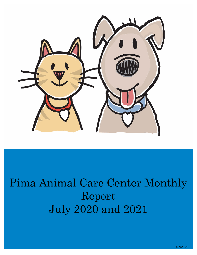

# Pima Animal Care Center Monthly Report July 2020 and 2021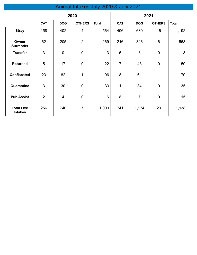# Animal Intakes July 2020 & July 2021

|                                     | 2020           |                |                | 2021         |                |                |                  |                  |
|-------------------------------------|----------------|----------------|----------------|--------------|----------------|----------------|------------------|------------------|
|                                     | <b>CAT</b>     | <b>DOG</b>     | <b>OTHERS</b>  | <b>Total</b> | <b>CAT</b>     | <b>DOG</b>     | <b>OTHERS</b>    | <b>Total</b>     |
| <b>Stray</b>                        | 158            | 402            | $\overline{4}$ | 564          | 496            | 680            | 16               | 1,192            |
| Owner<br><b>Surrender</b>           | 62             | 205            | $\overline{2}$ | 269          | 216            | 346            | $6\phantom{1}$   | 568              |
| <b>Transfer</b>                     | 3              | $\mathbf 0$    | $\pmb{0}$      | 3            | 5              | 3              | $\boldsymbol{0}$ | $\boldsymbol{8}$ |
| <b>Returned</b>                     | 5              | 17             | $\mathbf 0$    | 22           | $\overline{7}$ | 43             | $\mathbf 0$      | 50               |
| <b>Confiscated</b>                  | 23             | 82             | 1              | 106          | 8              | 61             | 1                | 70               |
| Quarantine                          | 3              | 30             | $\mathbf 0$    | 33           | $\mathbf 1$    | 34             | $\mathbf 0$      | 35               |
| <b>Pub Assist</b>                   | $\overline{2}$ | $\overline{4}$ | $\mathbf 0$    | 6            | 8              | $\overline{7}$ | $\mathbf 0$      | 15               |
| <b>Total Live</b><br><b>Intakes</b> | 256            | 740            | $\overline{7}$ | 1,003        | 741            | 1,174          | 23               | 1,938            |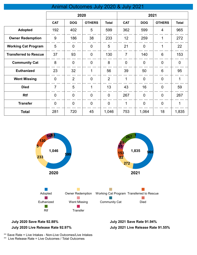## Animal Outcomes July 2020 & July 2021

|                              | 2020           |                |                | 2021           |                |                |                 |                |
|------------------------------|----------------|----------------|----------------|----------------|----------------|----------------|-----------------|----------------|
|                              | <b>CAT</b>     | <b>DOG</b>     | <b>OTHERS</b>  | <b>Total</b>   | <b>CAT</b>     | <b>DOG</b>     | <b>OTHERS</b>   | <b>Total</b>   |
| <b>Adopted</b>               | 192            | 402            | 5              | 599            | 362            | 599            | 4               | 965            |
| <b>Owner Redemption</b>      | 9              | 186            | 38             | 233            | 12             | 259            | 1               | 272            |
| <b>Working Cat Program</b>   | 5              | $\overline{0}$ | $\overline{0}$ | 5              | 21             | $\overline{0}$ | 1               | 22             |
| <b>Transferred to Rescue</b> | 37             | 93             | $\overline{0}$ | 130            | $\overline{7}$ | 140            | 6               | 153            |
| <b>Community Cat</b>         | 8              | $\overline{0}$ | $\overline{0}$ | 8              | $\overline{0}$ | $\overline{0}$ | $\overline{0}$  | $\overline{0}$ |
| <b>Euthanized</b>            | 23             | 32             | 1              | 56             | 39             | 50             | $6\phantom{1}6$ | 95             |
| <b>Went Missing</b>          | $\overline{0}$ | $\overline{2}$ | $\overline{0}$ | $\overline{2}$ | 1              | $\overline{0}$ | $\mathbf 0$     | 1              |
| <b>Died</b>                  | $\overline{7}$ | 5              | 1              | 13             | 43             | 16             | $\mathbf 0$     | 59             |
| <b>Rtf</b>                   | $\overline{0}$ | $\overline{0}$ | $\overline{0}$ | $\mathbf 0$    | 267            | $\overline{0}$ | $\overline{0}$  | 267            |
| <b>Transfer</b>              | $\overline{0}$ | $\overline{0}$ | $\overline{0}$ | $\overline{0}$ | 1              | $\overline{0}$ | $\overline{0}$  | 1              |
| <b>Total</b>                 | 281            | 720            | 45             | 1,046          | 753            | 1,064          | 18              | 1,835          |



#### **July 2020 Save Rate 92.88% July 2021 Save Rate 91.94% July 2020 Live Release Rate 92.97%**

**July 2021 Live Release Rate 91.55%**

\*\* Save Rate = Live Intakes - Non-Live Outcomes/Live Intakes

\*\* Live Release Rate = Live Outcomes / Total Outcomes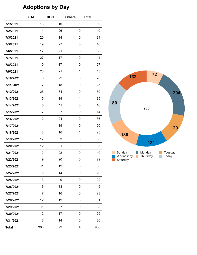# **Adoptions by Day**

|              | <b>CAT</b> | <b>DOG</b> | <b>Others</b> | <b>Total</b> |
|--------------|------------|------------|---------------|--------------|
| 7/1/2021     | 13         | 16         | 1             | 30           |
| 7/2/2021     | 14         | 26         | 0             | 40           |
| 7/3/2021     | 20         | 14         | 0             | 34           |
| 7/5/2021     | 19         | 27         | 0             | 46           |
| 7/6/2021     | 17         | 21         | 0             | 38           |
| 7/7/2021     | 27         | 17         | 0             | 44           |
| 7/8/2021     | 10         | 17         | 0             | 27           |
| 7/9/2021     | 23         | 21         | 1             | 45           |
| 7/10/2021    | 6          | 22         | 0             | 28           |
| 7/11/2021    | 7          | 18         | 0             | 25           |
| 7/12/2021    | 25         | 34         | 0             | 59           |
| 7/13/2021    | 15         | 19         | 1             | 35           |
| 7/14/2021    | 5          | 11         | 0             | 16           |
| 7/15/2021    | 7          | 7          | 0             | 14           |
| 7/16/2021    | 12         | 24         | 0             | 36           |
| 7/17/2021    | 1          | 19         | 0             | 20           |
| 7/18/2021    | 8          | 16         | 1             | 25           |
| 7/19/2021    | 17         | 33         | 0             | 50           |
| 7/20/2021    | 12         | 21         | 0             | 33           |
| 7/21/2021    | 12         | 28         | 0             | 40           |
| 7/22/2021    | 9          | 20         | 0             | 29           |
| 7/23/2021    | 11         | 19         | 0             | 30           |
| 7/24/2021    | 6          | 14         | 0             | 20           |
| 7/25/2021    | 13         | 9          | 0             | 22           |
| 7/26/2021    | 16         | 33         | 0             | 49           |
| 7/27/2021    | 7          | 16         | 0             | 23           |
| 7/28/2021    | 12         | 19         | 0             | 31           |
| 7/29/2021    | 11         | 27         | 0             | 38           |
| 7/30/2021    | 12         | 17         | 0             | 29           |
| 7/31/2021    | 16         | 14         | 0             | 30           |
| <b>Total</b> | 383        | 599        | 4             | 986          |

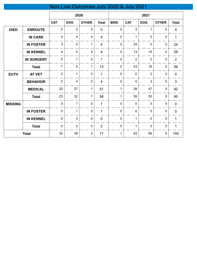# Non-Live Outcomes July 2020 & July 2021

|                |                   | 2020           |                         |                | 2021           |             |                |                |              |                |
|----------------|-------------------|----------------|-------------------------|----------------|----------------|-------------|----------------|----------------|--------------|----------------|
|                |                   | <b>CAT</b>     | <b>DOG</b>              | <b>OTHER</b>   | <b>Total</b>   | <b>BIRD</b> | <b>CAT</b>     | <b>DOG</b>     | <b>OTHER</b> | <b>Total</b>   |
| <b>DIED</b>    | <b>ENROUTE</b>    | $\mathbf 0$    | $\pmb{0}$               | $\pmb{0}$      | $\mathbf 0$    | 0           | 3              | 1              | $\pmb{0}$    | $\overline{4}$ |
|                | <b>IN CARE</b>    | $\mathbf 0$    | $\overline{\mathbf{4}}$ | $\mathbf 0$    | $\overline{4}$ | $\mathbf 0$ | 1              | $\overline{0}$ | $\mathbf 0$  | 1              |
|                | <b>IN FOSTER</b>  | 3              | $\mathbf 0$             | 1              | $\overline{4}$ | $\mathbf 0$ | 24             | 0              | $\mathbf 0$  | 24             |
|                | <b>IN KENNEL</b>  | $\overline{4}$ | $\mathbf 0$             | $\mathbf 0$    | 4              | $\mathbf 0$ | 13             | 15             | $\mathbf 0$  | 28             |
|                | <b>IN SURGERY</b> | $\mathbf 0$    | $\mathbf{1}$            | $\mathbf 0$    | 1              | $\mathbf 0$ | $\overline{2}$ | $\mathbf 0$    | 0            | $\overline{2}$ |
|                | <b>Total</b>      | $\overline{7}$ | $\overline{5}$          | 1              | 13             | $\mathbf 0$ | 43             | 16             | $\mathbf 0$  | 59             |
| <b>EUTH</b>    | <b>AT VET</b>     | $\mathbf 0$    | $\mathbf{1}$            | $\mathbf 0$    | $\mathbf{1}$   | $\mathbf 0$ | $\overline{0}$ | $\mathbf 0$    | $\mathbf 0$  | $\pmb{0}$      |
|                | <b>BEHAVIOR</b>   | $\mathbf 0$    | $\overline{\mathbf{4}}$ | $\mathbf 0$    | $\overline{4}$ | 0           | $\mathbf 0$    | 3              | 0            | 3              |
|                | <b>MEDICAL</b>    | 23             | 27                      | $\mathbf{1}$   | 51             | 1           | 39             | 47             | 5            | 92             |
|                | <b>Total</b>      | 23             | 32                      | $\mathbf{1}$   | 56             | $\mathbf 1$ | 39             | 50             | 5            | 95             |
| <b>MISSING</b> |                   | $\mathbf 0$    | $\mathbf{1}$            | $\mathbf 0$    | $\mathbf{1}$   | $\mathbf 0$ | $\mathbf 0$    | $\mathbf 0$    | $\mathbf 0$  | $\pmb{0}$      |
|                | <b>IN FOSTER</b>  | $\pmb{0}$      | $\mathbf{1}$            | $\pmb{0}$      | $\mathbf{1}$   | $\mathbf 0$ | $\mathbf 0$    | $\mathbf 0$    | $\mathbf 0$  | $\mathbf 0$    |
|                | <b>IN KENNEL</b>  | $\mathbf 0$    | $\mathbf 0$             | $\pmb{0}$      | $\mathbf 0$    | $\mathbf 0$ | 1              | $\mathbf 0$    | 0            | 1              |
|                | <b>Total</b>      | $\mathbf 0$    | $\overline{2}$          | $\pmb{0}$      | $\overline{2}$ | $\mathbf 0$ | $\mathbf{1}$   | 0              | $\mathbf 0$  | 1              |
|                | <b>Total</b>      | 30             | 39                      | $\overline{2}$ | 71             | 1           | 83             | 66             | 5            | 155            |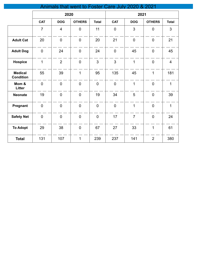| Animals that went to Foster Care July 2020 & 2021 |                |                |                |                |                |                |                |                |
|---------------------------------------------------|----------------|----------------|----------------|----------------|----------------|----------------|----------------|----------------|
|                                                   |                | 2020           |                |                | 2021           |                |                |                |
|                                                   | <b>CAT</b>     | <b>DOG</b>     | <b>OTHERS</b>  | <b>Total</b>   | <b>CAT</b>     | <b>DOG</b>     | <b>OTHERS</b>  | <b>Total</b>   |
|                                                   | $\overline{7}$ | $\overline{4}$ | $\overline{0}$ | 11             | $\overline{0}$ | 3              | $\overline{0}$ | $\mathfrak{S}$ |
| <b>Adult Cat</b>                                  | 20             | $\overline{0}$ | $\mathbf 0$    | 20             | 21             | $\overline{0}$ | $\overline{0}$ | 21             |
| <b>Adult Dog</b>                                  | $\mathbf 0$    | 24             | $\mathbf 0$    | 24             | $\overline{0}$ | 45             | $\mathbf 0$    | 45             |
| <b>Hospice</b>                                    | 1              | $\overline{2}$ | $\mathbf 0$    | $\overline{3}$ | $\overline{3}$ | $\mathbf{1}$   | $\overline{0}$ | $\overline{4}$ |
| <b>Medical</b><br><b>Condition</b>                | 55             | 39             | $\mathbf{1}$   | 95             | 135            | 45             | $\mathbf{1}$   | 181            |
| Mom &<br>Litter                                   | $\mathbf 0$    | $\mathbf 0$    | $\mathbf 0$    | $\mathbf 0$    | $\overline{0}$ | $\mathbf{1}$   | $\mathbf 0$    | $\mathbf{1}$   |
| <b>Neonate</b>                                    | 19             | $\overline{0}$ | $\mathbf 0$    | 19             | 34             | 5              | $\overline{0}$ | 39             |
| Pregnant                                          | $\overline{0}$ | $\overline{0}$ | $\overline{0}$ | $\overline{0}$ | $\mathbf 0$    | $\mathbf{1}$   | $\overline{0}$ | $\mathbf{1}$   |
| <b>Safety Net</b>                                 | $\overline{0}$ | $\overline{0}$ | $\mathbf 0$    | $\overline{0}$ | 17             | $\overline{7}$ | $\overline{0}$ | 24             |
| <b>To Adopt</b>                                   | 29             | 38             | $\mathbf 0$    | 67             | 27             | 33             | $\mathbf{1}$   | 61             |
| <b>Total</b>                                      | 131            | 107            | $\mathbf{1}$   | 239            | 237            | 141            | $\overline{2}$ | 380            |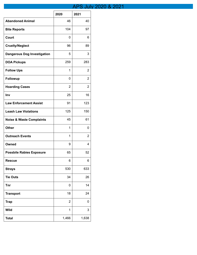## APS July 2020 & 2021

T.

 $\top$ 

|                                     | 2020           | 2021           |
|-------------------------------------|----------------|----------------|
| <b>Abandoned Animal</b>             | 46             | 40             |
| <b>Bite Reports</b>                 | 104            | 97             |
| Court                               | 0              | 6              |
| <b>Cruelty/Neglect</b>              | 96             | 89             |
| <b>Dangerous Dog Investigation</b>  | 5              | 3              |
| <b>DOA Pickups</b>                  | 259            | 283            |
| <b>Follow Ups</b>                   | 1              | $\overline{2}$ |
| <b>Followup</b>                     | 0              | 2              |
| <b>Hoarding Cases</b>               | 2              | 2              |
| Inv                                 | 25             | 16             |
| <b>Law Enforcement Assist</b>       | 91             | 123            |
| <b>Leash Law Violations</b>         | 125            | 150            |
| <b>Noise &amp; Waste Complaints</b> | 45             | 61             |
| <b>Other</b>                        | 1              | 0              |
| <b>Outreach Events</b>              | 1              | $\overline{2}$ |
| Owned                               | 9              | 4              |
| <b>Possbile Rabies Exposure</b>     | 65             | 52             |
| <b>Rescue</b>                       | 6              | 6              |
| <b>Strays</b>                       | 530            | 633            |
| <b>Tie Outs</b>                     | 34             | 26             |
| <b>Tnr</b>                          | 0              | 14             |
| <b>Transport</b>                    | 18             | 24             |
| <b>Trap</b>                         | $\overline{2}$ | 0              |
| <b>Wild</b>                         | 1              | 3              |
| <b>Total</b>                        | 1,466          | 1,638          |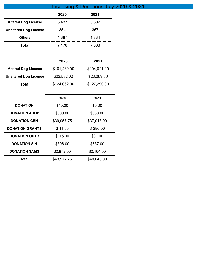|                              | Licensing & Donations July 2020 & 2021 |       |  |  |  |
|------------------------------|----------------------------------------|-------|--|--|--|
|                              | 2020                                   | 2021  |  |  |  |
| <b>Altered Dog License</b>   | 5,437                                  | 5,607 |  |  |  |
| <b>Unaltered Dog License</b> | 354                                    | 367   |  |  |  |
| <b>Others</b>                | 1,387                                  | 1,334 |  |  |  |
| Total                        | 7,178                                  | 7,308 |  |  |  |

|                              | 2020         | 2021         |
|------------------------------|--------------|--------------|
| <b>Altered Dog License</b>   | \$101,480.00 | \$104,021.00 |
| <b>Unaltered Dog License</b> | \$22,582.00  | \$23,269.00  |
| Total                        | \$124,062.00 | \$127,290.00 |

|                        | 2020        | 2021        |
|------------------------|-------------|-------------|
| <b>DONATION</b>        | \$40.00     | \$0.00      |
| <b>DONATION ADOP</b>   | \$503.00    | \$530.00    |
| <b>DONATION GEN</b>    | \$39,957.75 | \$37,013.00 |
| <b>DONATION GRANTS</b> | $$-11.00$   | $$-280.00$  |
| <b>DONATION OUTR</b>   | \$115.00    | \$81.00     |
| <b>DONATION S/N</b>    | \$396.00    | \$537.00    |
| <b>DONATION SAMS</b>   | \$2,972.00  | \$2,164.00  |
| Total                  | \$43,972.75 | \$40,045.00 |